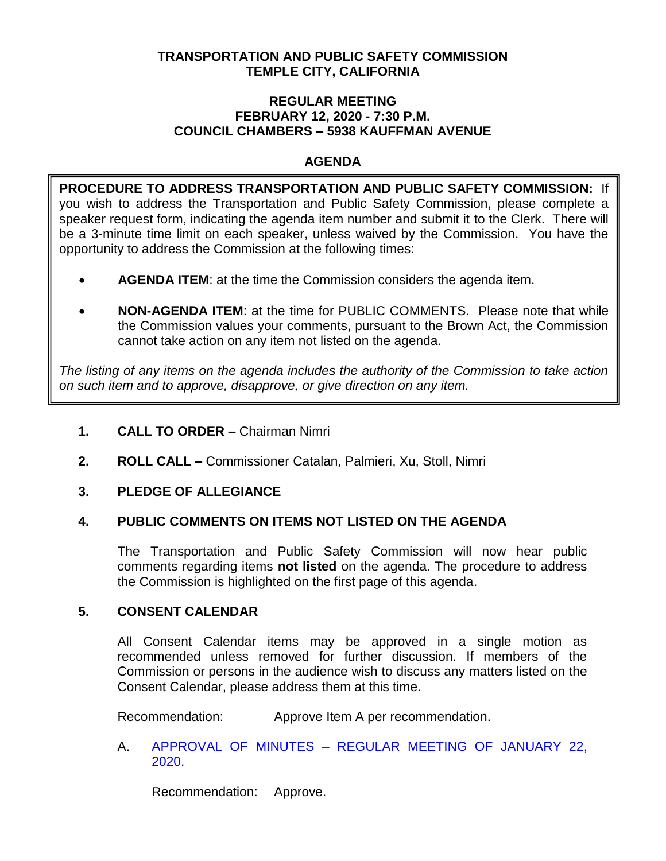# **TRANSPORTATION AND PUBLIC SAFETY COMMISSION TEMPLE CITY, CALIFORNIA**

### **REGULAR MEETING FEBRUARY 12, 2020 - 7:30 P.M. COUNCIL CHAMBERS – 5938 KAUFFMAN AVENUE**

# **AGENDA**

**PROCEDURE TO ADDRESS TRANSPORTATION AND PUBLIC SAFETY COMMISSION:** If you wish to address the Transportation and Public Safety Commission, please complete a speaker request form, indicating the agenda item number and submit it to the Clerk. There will be a 3-minute time limit on each speaker, unless waived by the Commission. You have the opportunity to address the Commission at the following times:

- **AGENDA ITEM**: at the time the Commission considers the agenda item.
- **NON-AGENDA ITEM**: at the time for PUBLIC COMMENTS. Please note that while the Commission values your comments, pursuant to the Brown Act, the Commission cannot take action on any item not listed on the agenda.

*The listing of any items on the agenda includes the authority of the Commission to take action on such item and to approve, disapprove, or give direction on any item.*

- **1. CALL TO ORDER –** Chairman Nimri
- **2. ROLL CALL –** Commissioner Catalan, Palmieri, Xu, Stoll, Nimri

# **3. PLEDGE OF ALLEGIANCE**

# **4. PUBLIC COMMENTS ON ITEMS NOT LISTED ON THE AGENDA**

The Transportation and Public Safety Commission will now hear public comments regarding items **not listed** on the agenda. The procedure to address the Commission is highlighted on the first page of this agenda.

# **5. CONSENT CALENDAR**

All Consent Calendar items may be approved in a single motion as recommended unless removed for further discussion. If members of the Commission or persons in the audience wish to discuss any matters listed on the Consent Calendar, please address them at this time.

Recommendation: Approve Item A per recommendation.

A. APPROVAL OF MINUTES – [REGULAR MEETING OF JANUARY 22,](/DocumentCenter/View/13828/TPSC-min-2020-01-22)  [2020.](/DocumentCenter/View/13828/TPSC-min-2020-01-22)

Recommendation: Approve.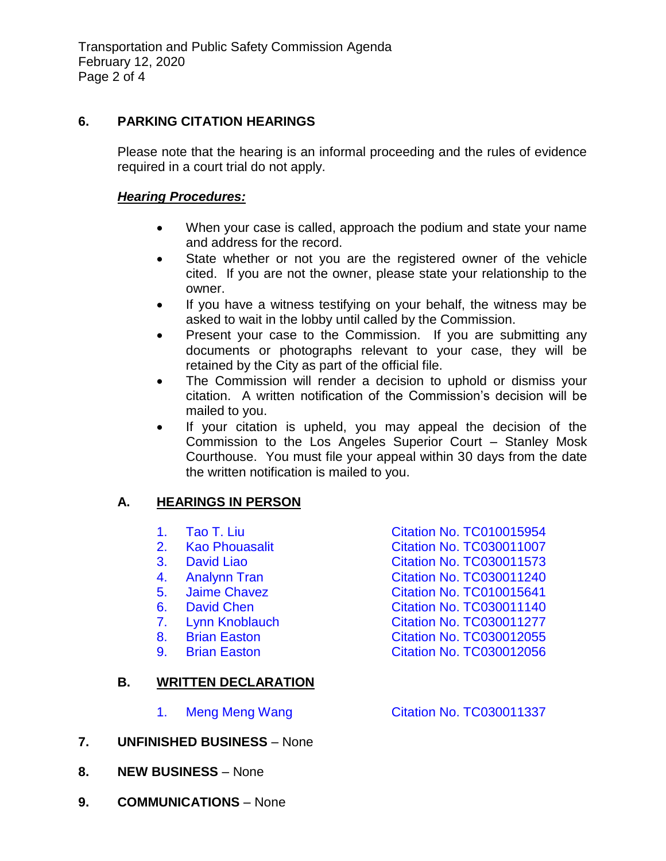# **6. PARKING CITATION HEARINGS**

Please note that the hearing is an informal proceeding and the rules of evidence required in a court trial do not apply.

## *Hearing Procedures:*

- When your case is called, approach the podium and state your name and address for the record.
- State whether or not you are the registered owner of the vehicle cited. If you are not the owner, please state your relationship to the owner.
- If you have a witness testifying on your behalf, the witness may be asked to wait in the lobby until called by the Commission.
- Present your case to the Commission. If you are submitting any documents or photographs relevant to your case, they will be retained by the City as part of the official file.
- The Commission will render a decision to uphold or dismiss your citation. A written notification of the Commission's decision will be mailed to you.
- If your citation is upheld, you may appeal the decision of the Commission to the Los Angeles Superior Court – Stanley Mosk Courthouse. You must file your appeal within 30 days from the date the written notification is mailed to you.

# **A. HEARINGS IN PERSON**

|    | 1.             | Tao T. Liu                 | <b>Citation No. TC010015954</b> |
|----|----------------|----------------------------|---------------------------------|
|    | $2_{-}$        | <b>Kao Phouasalit</b>      | <b>Citation No. TC030011007</b> |
|    | 3.             | David Liao                 | <b>Citation No. TC030011573</b> |
|    | 4.             | <b>Analynn Tran</b>        | <b>Citation No. TC030011240</b> |
|    | 5.             | <b>Jaime Chavez</b>        | <b>Citation No. TC010015641</b> |
|    | 6.             | David Chen                 | <b>Citation No. TC030011140</b> |
|    | 7.             | Lynn Knoblauch             | <b>Citation No. TC030011277</b> |
|    | 8 <sub>1</sub> | <b>Brian Easton</b>        | <b>Citation No. TC030012055</b> |
|    | 9 <sub>1</sub> | <b>Brian Easton</b>        | <b>Citation No. TC030012056</b> |
| В. |                | <b>WRITTEN DECLARATION</b> |                                 |
|    | 1.             | <b>Meng Meng Wang</b>      | <b>Citation No. TC030011337</b> |
|    |                |                            |                                 |

- **7. UNFINISHED BUSINESS** None
- **8. NEW BUSINESS** None
- **9. COMMUNICATIONS** None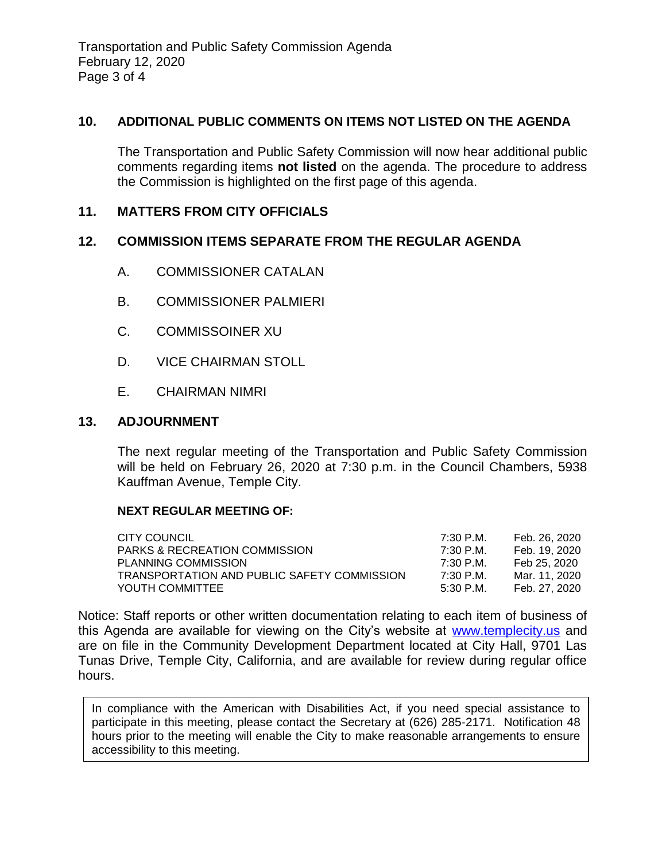Transportation and Public Safety Commission Agenda February 12, 2020 Page 3 of 4

#### **10. ADDITIONAL PUBLIC COMMENTS ON ITEMS NOT LISTED ON THE AGENDA**

The Transportation and Public Safety Commission will now hear additional public comments regarding items **not listed** on the agenda. The procedure to address the Commission is highlighted on the first page of this agenda.

# **11. MATTERS FROM CITY OFFICIALS**

### **12. COMMISSION ITEMS SEPARATE FROM THE REGULAR AGENDA**

- A. COMMISSIONER CATALAN
- B. COMMISSIONER PALMIERI
- C. COMMISSOINER XU
- D. VICE CHAIRMAN STOLL
- E. CHAIRMAN NIMRI

### **13. ADJOURNMENT**

The next regular meeting of the Transportation and Public Safety Commission will be held on February 26, 2020 at 7:30 p.m. in the Council Chambers, 5938 Kauffman Avenue, Temple City.

#### **NEXT REGULAR MEETING OF:**

| CITY COUNCIL                                | 7:30 P.M. | Feb. 26. 2020 |
|---------------------------------------------|-----------|---------------|
| <b>PARKS &amp; RECREATION COMMISSION</b>    | 7:30 P.M. | Feb. 19. 2020 |
| <b>PLANNING COMMISSION</b>                  | 7:30 P.M. | Feb 25, 2020  |
| TRANSPORTATION AND PUBLIC SAFETY COMMISSION | 7:30 P.M. | Mar. 11. 2020 |
| YOUTH COMMITTEE                             | 5:30 P.M. | Feb. 27. 2020 |

Notice: Staff reports or other written documentation relating to each item of business of this Agenda are available for viewing on the City's website at [www.templecity.us](http://www.templecity.us/) and are on file in the Community Development Department located at City Hall, 9701 Las Tunas Drive, Temple City, California, and are available for review during regular office hours.

In compliance with the American with Disabilities Act, if you need special assistance to participate in this meeting, please contact the Secretary at (626) 285-2171. Notification 48 hours prior to the meeting will enable the City to make reasonable arrangements to ensure accessibility to this meeting.